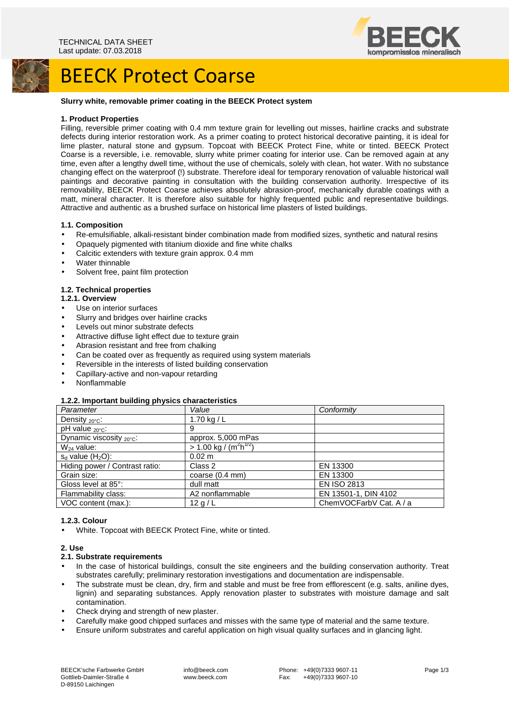

# BEECK Protect Coarse

#### **Slurry white, removable primer coating in the BEECK Protect system**

### **1. Product Properties**

Filling, reversible primer coating with 0.4 mm texture grain for levelling out misses, hairline cracks and substrate defects during interior restoration work. As a primer coating to protect historical decorative painting, it is ideal for lime plaster, natural stone and gypsum. Topcoat with BEECK Protect Fine, white or tinted. BEECK Protect Coarse is a reversible, i.e. removable, slurry white primer coating for interior use. Can be removed again at any time, even after a lengthy dwell time, without the use of chemicals, solely with clean, hot water. With no substance changing effect on the waterproof (!) substrate. Therefore ideal for temporary renovation of valuable historical wall paintings and decorative painting in consultation with the building conservation authority. Irrespective of its removability, BEECK Protect Coarse achieves absolutely abrasion-proof, mechanically durable coatings with a matt, mineral character. It is therefore also suitable for highly frequented public and representative buildings. Attractive and authentic as a brushed surface on historical lime plasters of listed buildings.

### **1.1. Composition**

- Re-emulsifiable, alkali-resistant binder combination made from modified sizes, synthetic and natural resins
- Opaquely pigmented with titanium dioxide and fine white chalks
- Calcitic extenders with texture grain approx. 0.4 mm
- Water thinnable
- Solvent free, paint film protection

# **1.2. Technical properties**

### **1.2.1. Overview**

- Use on interior surfaces
- Slurry and bridges over hairline cracks
- Levels out minor substrate defects
- Attractive diffuse light effect due to texture grain
- Abrasion resistant and free from chalking
- Can be coated over as frequently as required using system materials
- Reversible in the interests of listed building conservation
- Capillary-active and non-vapour retarding
- Nonflammable

# **1.2.2. Important building physics characteristics**

| Parameter                      | Value                                             | Conformity              |
|--------------------------------|---------------------------------------------------|-------------------------|
| Density $20^{\circ}$ C:        | 1.70 kg / $L$                                     |                         |
| pH value <sub>20°C</sub> :     | 9                                                 |                         |
| Dynamic viscosity 20°C:        | approx. 5,000 mPas                                |                         |
| $W_{24}$ value:                | $> 1.00 \text{ kg} / (\text{m}^2 \text{h}^{1/2})$ |                         |
| $s_d$ value $(H_2O)$ :         | $0.02 \text{ m}$                                  |                         |
| Hiding power / Contrast ratio: | Class 2                                           | EN 13300                |
| Grain size:                    | coarse (0.4 mm)                                   | EN 13300                |
| Gloss level at 85°:            | dull matt                                         | <b>EN ISO 2813</b>      |
| Flammability class:            | A2 nonflammable                                   | EN 13501-1, DIN 4102    |
| VOC content (max.):            | 12q/L                                             | ChemVOCFarbV Cat. A / a |
|                                |                                                   |                         |

# **1.2.3. Colour**

• White. Topcoat with BEECK Protect Fine, white or tinted.

#### **2. Use**

#### **2.1. Substrate requirements**

- In the case of historical buildings, consult the site engineers and the building conservation authority. Treat substrates carefully; preliminary restoration investigations and documentation are indispensable.
- The substrate must be clean, dry, firm and stable and must be free from efflorescent (e.g. salts, aniline dyes, lignin) and separating substances. Apply renovation plaster to substrates with moisture damage and salt contamination.
- Check drying and strength of new plaster.
- Carefully make good chipped surfaces and misses with the same type of material and the same texture.
- Ensure uniform substrates and careful application on high visual quality surfaces and in glancing light.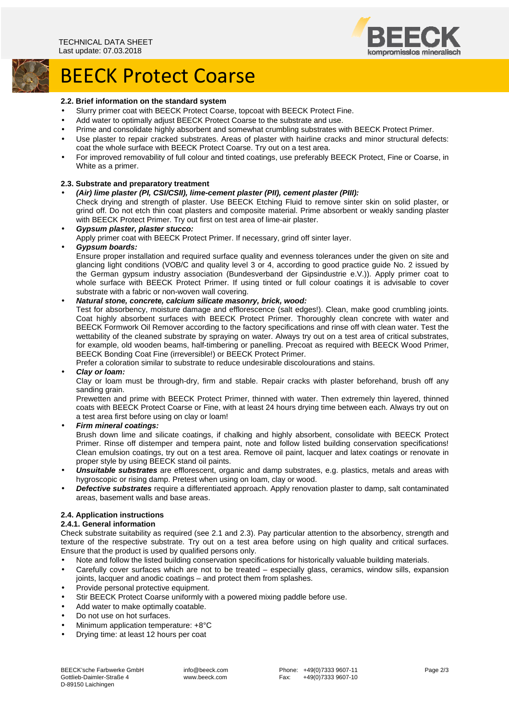

# BEECK Protect Coarse

#### **2.2. Brief information on the standard system**

- Slurry primer coat with BEECK Protect Coarse, topcoat with BEECK Protect Fine.
- Add water to optimally adjust BEECK Protect Coarse to the substrate and use.
- Prime and consolidate highly absorbent and somewhat crumbling substrates with BEECK Protect Primer.
- Use plaster to repair cracked substrates. Areas of plaster with hairline cracks and minor structural defects: coat the whole surface with BEECK Protect Coarse. Try out on a test area.
- For improved removability of full colour and tinted coatings, use preferably BEECK Protect, Fine or Coarse, in White as a primer.

#### **2.3. Substrate and preparatory treatment**

- **(Air) lime plaster (PI, CSI/CSII), lime-cement plaster (PII), cement plaster (PIII):**  Check drying and strength of plaster. Use BEECK Etching Fluid to remove sinter skin on solid plaster, or grind off. Do not etch thin coat plasters and composite material. Prime absorbent or weakly sanding plaster with BEECK Protect Primer. Try out first on test area of lime-air plaster.
- **Gypsum plaster, plaster stucco:**  Apply primer coat with BEECK Protect Primer. If necessary, grind off sinter layer. • **Gypsum boards:** 
	- Ensure proper installation and required surface quality and evenness tolerances under the given on site and glancing light conditions (VOB/C and quality level 3 or 4, according to good practice guide No. 2 issued by the German gypsum industry association (Bundesverband der Gipsindustrie e.V.)). Apply primer coat to whole surface with BEECK Protect Primer. If using tinted or full colour coatings it is advisable to cover substrate with a fabric or non-woven wall covering.

### • **Natural stone, concrete, calcium silicate masonry, brick, wood:**

Test for absorbency, moisture damage and efflorescence (salt edges!). Clean, make good crumbling joints. Coat highly absorbent surfaces with BEECK Protect Primer. Thoroughly clean concrete with water and BEECK Formwork Oil Remover according to the factory specifications and rinse off with clean water. Test the wettability of the cleaned substrate by spraying on water. Always try out on a test area of critical substrates, for example, old wooden beams, half-timbering or panelling. Precoat as required with BEECK Wood Primer, BEECK Bonding Coat Fine (irreversible!) or BEECK Protect Primer.

Prefer a coloration similar to substrate to reduce undesirable discolourations and stains.

#### • **Clay or loam:**

Clay or loam must be through-dry, firm and stable. Repair cracks with plaster beforehand, brush off any sanding grain.

Prewetten and prime with BEECK Protect Primer, thinned with water. Then extremely thin layered, thinned coats with BEECK Protect Coarse or Fine, with at least 24 hours drying time between each. Always try out on a test area first before using on clay or loam!

• **Firm mineral coatings:** 

Brush down lime and silicate coatings, if chalking and highly absorbent, consolidate with BEECK Protect Primer. Rinse off distemper and tempera paint, note and follow listed building conservation specifications! Clean emulsion coatings, try out on a test area. Remove oil paint, lacquer and latex coatings or renovate in proper style by using BEECK stand oil paints.

- **Unsuitable substrates** are efflorescent, organic and damp substrates, e.g. plastics, metals and areas with hygroscopic or rising damp. Pretest when using on loam, clay or wood.
- **Defective substrates** require a differentiated approach. Apply renovation plaster to damp, salt contaminated areas, basement walls and base areas.

# **2.4. Application instructions**

# **2.4.1. General information**

Check substrate suitability as required (see 2.1 and 2.3). Pay particular attention to the absorbency, strength and texture of the respective substrate. Try out on a test area before using on high quality and critical surfaces. Ensure that the product is used by qualified persons only.

- Note and follow the listed building conservation specifications for historically valuable building materials.
- Carefully cover surfaces which are not to be treated especially glass, ceramics, window sills, expansion joints, lacquer and anodic coatings – and protect them from splashes.
- Provide personal protective equipment.
- Stir BEECK Protect Coarse uniformly with a powered mixing paddle before use.
- Add water to make optimally coatable.
- Do not use on hot surfaces.
- Minimum application temperature: +8°C
- Drying time: at least 12 hours per coat